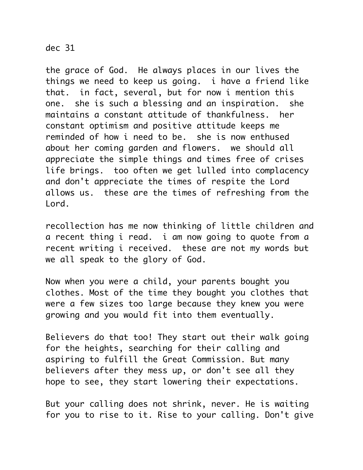## dec 31

the grace of God. He always places in our lives the things we need to keep us going. i have a friend like that. in fact, several, but for now i mention this one. she is such a blessing and an inspiration. she maintains a constant attitude of thankfulness. her constant optimism and positive attitude keeps me reminded of how i need to be. she is now enthused about her coming garden and flowers. we should all appreciate the simple things and times free of crises life brings. too often we get lulled into complacency and don't appreciate the times of respite the Lord allows us. these are the times of refreshing from the Lord.

recollection has me now thinking of little children and a recent thing i read. i am now going to quote from a recent writing i received. these are not my words but we all speak to the glory of God.

Now when you were a child, your parents bought you clothes. Most of the time they bought you clothes that were a few sizes too large because they knew you were growing and you would fit into them eventually.

Believers do that too! They start out their walk going for the heights, searching for their calling and aspiring to fulfill the Great Commission. But many believers after they mess up, or don't see all they hope to see, they start lowering their expectations.

But your calling does not shrink, never. He is waiting for you to rise to it. Rise to your calling. Don't give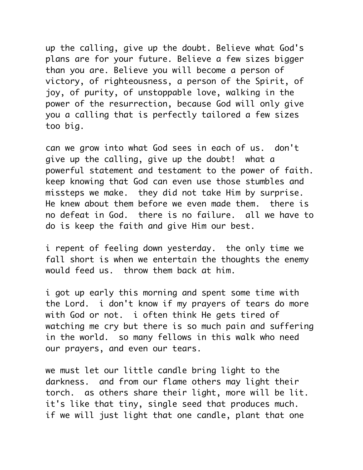up the calling, give up the doubt. Believe what God's plans are for your future. Believe a few sizes bigger than you are. Believe you will become a person of victory, of righteousness, a person of the Spirit, of joy, of purity, of unstoppable love, walking in the power of the resurrection, because God will only give you a calling that is perfectly tailored a few sizes too big.

can we grow into what God sees in each of us. don't give up the calling, give up the doubt! what a powerful statement and testament to the power of faith. keep knowing that God can even use those stumbles and missteps we make. they did not take Him by surprise. He knew about them before we even made them. there is no defeat in God. there is no failure. all we have to do is keep the faith and give Him our best.

i repent of feeling down yesterday. the only time we fall short is when we entertain the thoughts the enemy would feed us. throw them back at him.

i got up early this morning and spent some time with the Lord. i don't know if my prayers of tears do more with God or not. i often think He gets tired of watching me cry but there is so much pain and suffering in the world. so many fellows in this walk who need our prayers, and even our tears.

we must let our little candle bring light to the darkness. and from our flame others may light their torch. as others share their light, more will be lit. it's like that tiny, single seed that produces much. if we will just light that one candle, plant that one